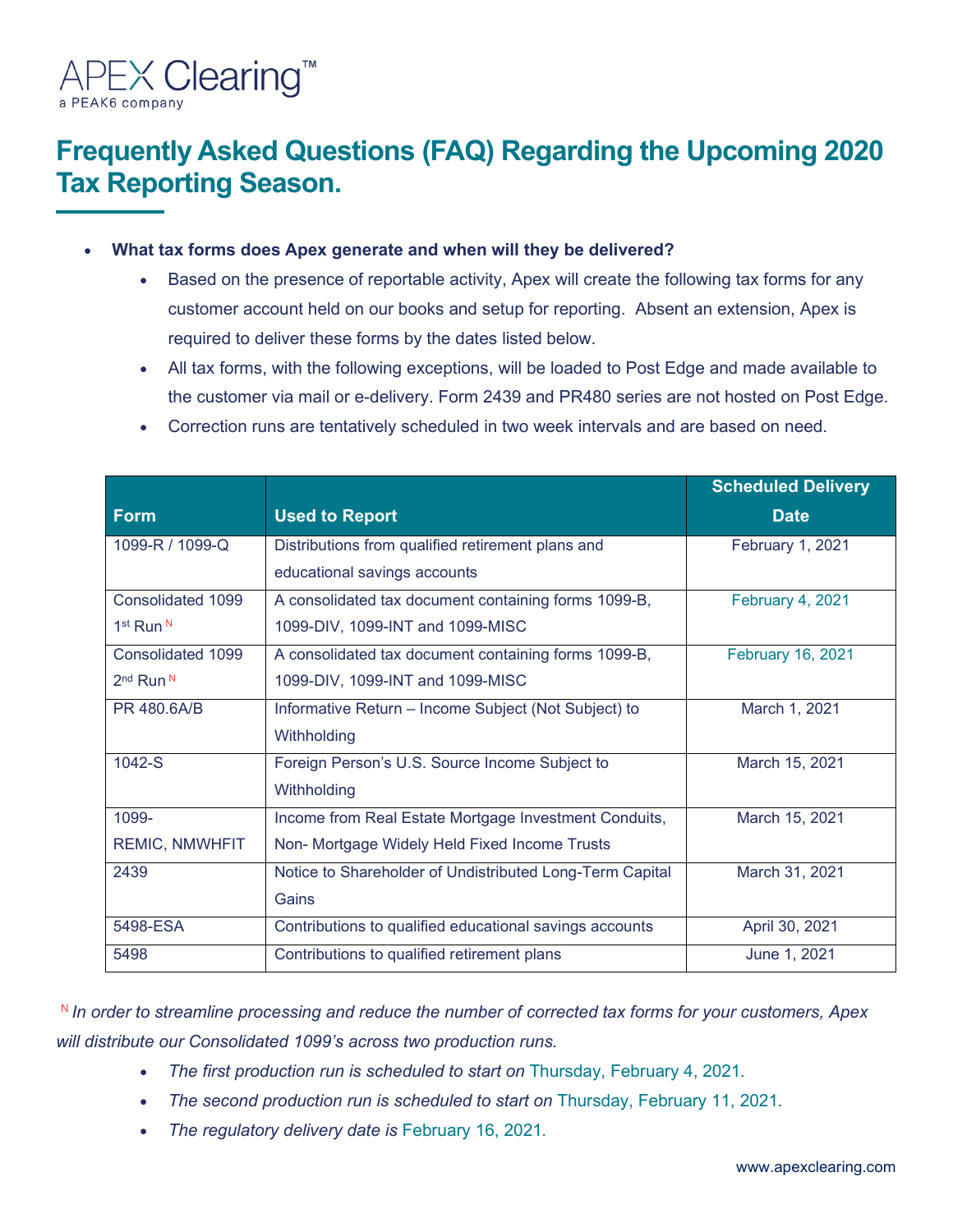

# **Frequently Asked Questions (FAQ) Regarding the Upcoming 2020 Tax Reporting Season.**

- **What tax forms does Apex generate and when will they be delivered?** 
	- Based on the presence of reportable activity, Apex will create the following tax forms for any customer account held on our books and setup for reporting. Absent an extension, Apex is required to deliver these forms by the dates listed below.
	- All tax forms, with the following exceptions, will be loaded to Post Edge and made available to the customer via mail or e-delivery. Form 2439 and PR480 series are not hosted on Post Edge.
	- Correction runs are tentatively scheduled in two week intervals and are based on need.

|                                  |                                                          | <b>Scheduled Delivery</b> |
|----------------------------------|----------------------------------------------------------|---------------------------|
| <b>Form</b>                      | <b>Used to Report</b>                                    | <b>Date</b>               |
| 1099-R / 1099-Q                  | Distributions from qualified retirement plans and        | February 1, 2021          |
|                                  | educational savings accounts                             |                           |
| Consolidated 1099                | A consolidated tax document containing forms 1099-B,     | February 4, 2021          |
| 1 <sup>st</sup> Run <sup>N</sup> | 1099-DIV, 1099-INT and 1099-MISC                         |                           |
| Consolidated 1099                | A consolidated tax document containing forms 1099-B,     | <b>February 16, 2021</b>  |
| 2 <sup>nd</sup> Run <sup>N</sup> | 1099-DIV, 1099-INT and 1099-MISC                         |                           |
| PR 480.6A/B                      | Informative Return - Income Subject (Not Subject) to     | March 1, 2021             |
|                                  | Withholding                                              |                           |
| $1042-S$                         | Foreign Person's U.S. Source Income Subject to           | March 15, 2021            |
|                                  | Withholding                                              |                           |
| 1099-                            | Income from Real Estate Mortgage Investment Conduits,    | March 15, 2021            |
| <b>REMIC, NMWHFIT</b>            | Non- Mortgage Widely Held Fixed Income Trusts            |                           |
| 2439                             | Notice to Shareholder of Undistributed Long-Term Capital | March 31, 2021            |
|                                  | Gains                                                    |                           |
| 5498-ESA                         | Contributions to qualified educational savings accounts  | April 30, 2021            |
| 5498                             | Contributions to qualified retirement plans              | June 1, 2021              |

<sup>N</sup>*In order to streamline processing and reduce the number of corrected tax forms for your customers, Apex will distribute our Consolidated 1099's across two production runs.* 

- The first production run is scheduled to start on Thursday, February 4, 2021.
- The second production run is scheduled to start on Thursday, February 11, 2021.
- *The regulatory delivery date is* February 16, 2021*.*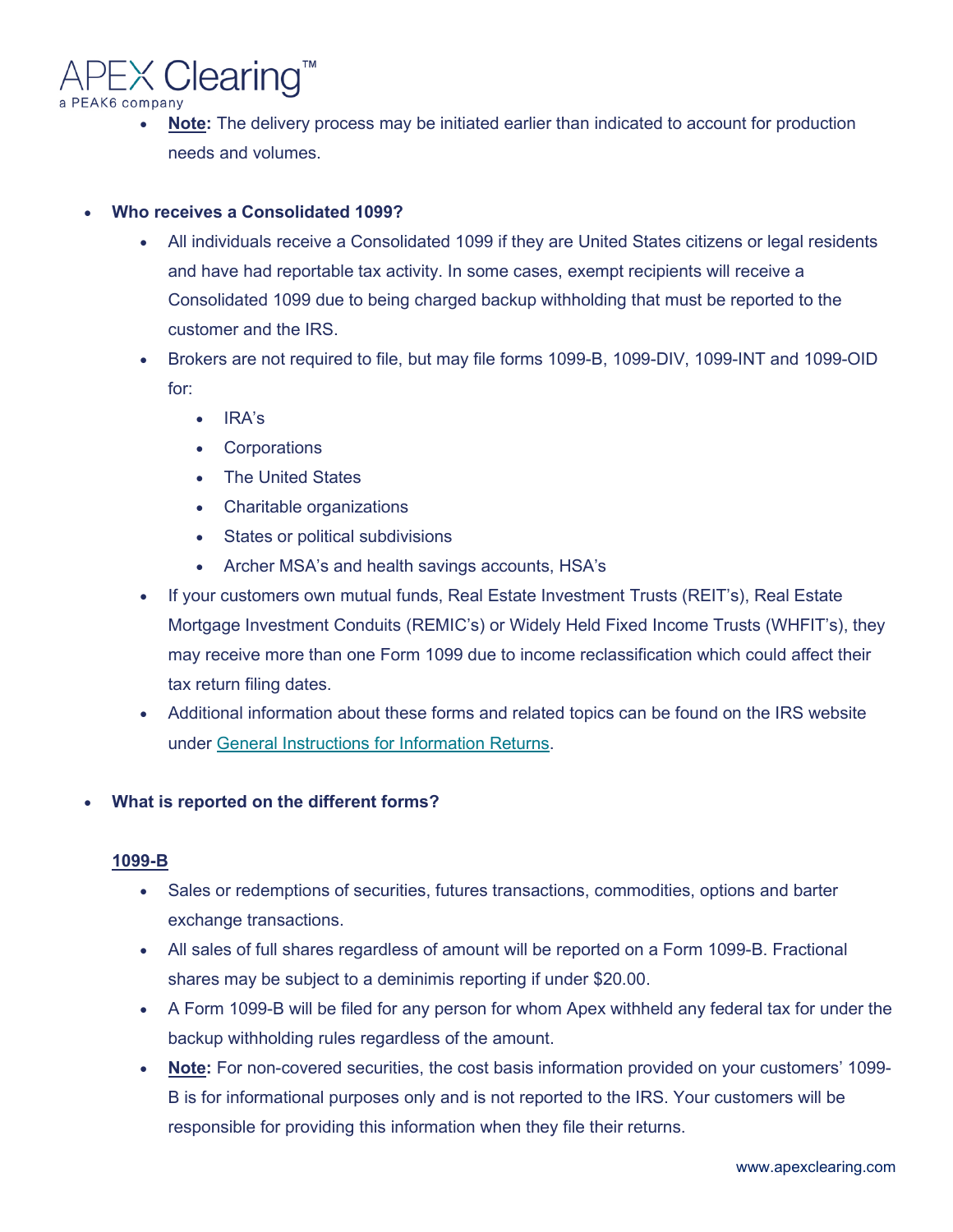

• **Note:** The delivery process may be initiated earlier than indicated to account for production needs and volumes.

# • **Who receives a Consolidated 1099?**

- All individuals receive a Consolidated 1099 if they are United States citizens or legal residents and have had reportable tax activity. In some cases, exempt recipients will receive a Consolidated 1099 due to being charged backup withholding that must be reported to the customer and the IRS.
- Brokers are not required to file, but may file forms 1099-B, 1099-DIV, 1099-INT and 1099-OID for:
	- IRA's
	- Corporations
	- The United States
	- Charitable organizations
	- States or political subdivisions
	- Archer MSA's and health savings accounts, HSA's
- If your customers own mutual funds, Real Estate Investment Trusts (REIT's), Real Estate Mortgage Investment Conduits (REMIC's) or Widely Held Fixed Income Trusts (WHFIT's), they may receive more than one Form 1099 due to income reclassification which could affect their tax return filing dates.
- Additional information about these forms and related topics can be found on the IRS website under [General Instructions for Information Returns.](https://www.irs.gov/pub/irs-pdf/i1099gi.pdf)

# • **What is reported on the different forms?**

# **1099-B**

- Sales or redemptions of securities, futures transactions, commodities, options and barter exchange transactions.
- All sales of full shares regardless of amount will be reported on a Form 1099-B. Fractional shares may be subject to a deminimis reporting if under \$20.00.
- A Form 1099-B will be filed for any person for whom Apex withheld any federal tax for under the backup withholding rules regardless of the amount.
- **Note:** For non-covered securities, the cost basis information provided on your customers' 1099- B is for informational purposes only and is not reported to the IRS. Your customers will be responsible for providing this information when they file their returns.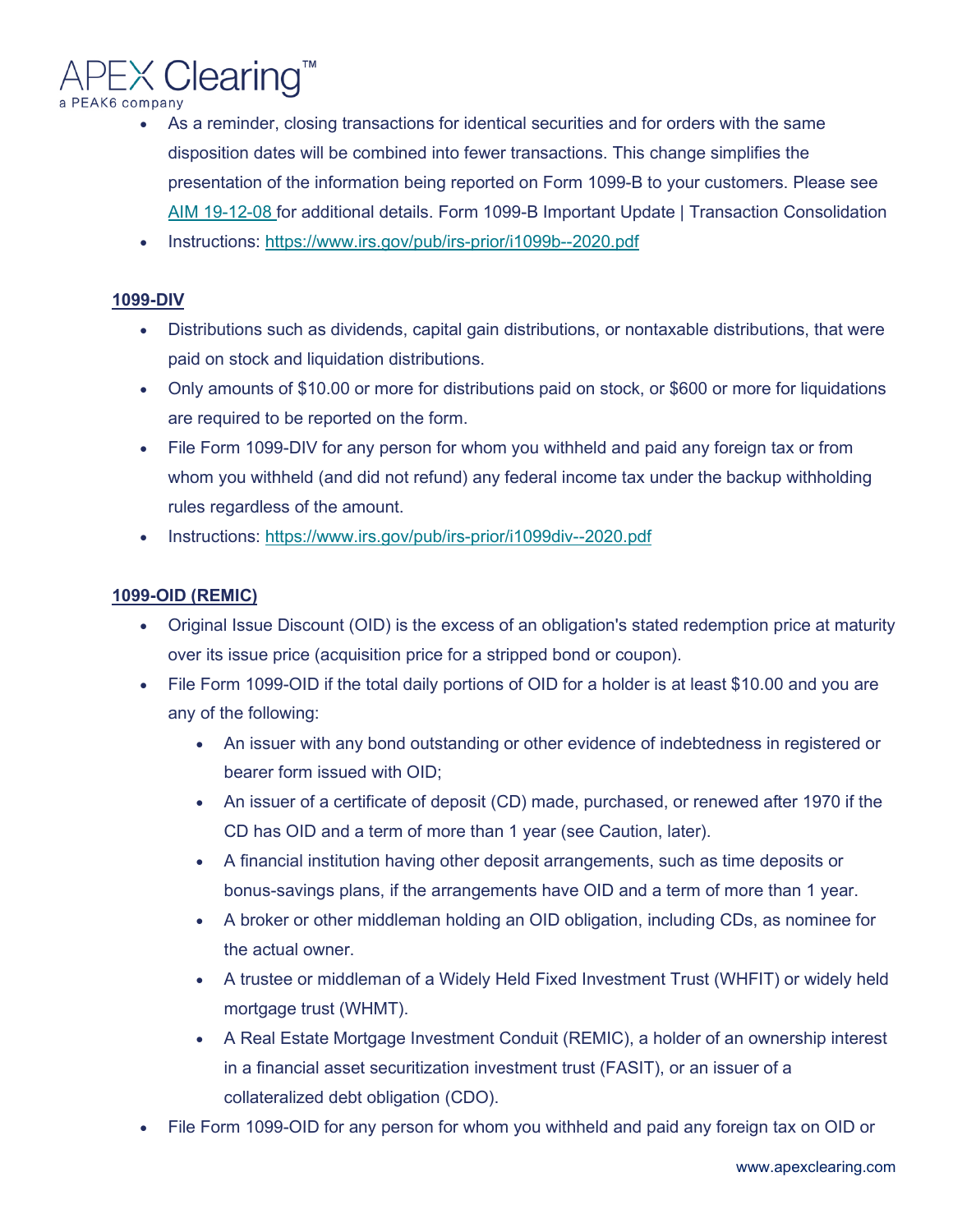

- As a reminder, closing transactions for identical securities and for orders with the same disposition dates will be combined into fewer transactions. This change simplifies the presentation of the information being reported on Form 1099-B to your customers. Please see [AIM 19-12-08 f](https://online.apexclearing.com/(lc3rjqvc4vnzjo452esexv2v)/CorrespondentDocuments/CorrespondentNotices/19_12_08_0158_0234_Form%201099-B%20Important%20Update%20-%20Transaction%20Consolidation.pdf)or additional details. Form 1099-B Important Update | Transaction Consolidation
- Instructions:<https://www.irs.gov/pub/irs-prior/i1099b--2020.pdf>

#### **1099-DIV**

- Distributions such as dividends, capital gain distributions, or nontaxable distributions, that were paid on stock and liquidation distributions.
- Only amounts of \$10.00 or more for distributions paid on stock, or \$600 or more for liquidations are required to be reported on the form.
- File Form 1099-DIV for any person for whom you withheld and paid any foreign tax or from whom you withheld (and did not refund) any federal income tax under the backup withholding rules regardless of the amount.
- Instructions:<https://www.irs.gov/pub/irs-prior/i1099div--2020.pdf>

# **1099-OID (REMIC)**

- Original Issue Discount (OID) is the excess of an obligation's stated redemption price at maturity over its issue price (acquisition price for a stripped bond or coupon).
- File Form 1099-OID if the total daily portions of OID for a holder is at least \$10.00 and you are any of the following:
	- An issuer with any bond outstanding or other evidence of indebtedness in registered or bearer form issued with OID;
	- An issuer of a certificate of deposit (CD) made, purchased, or renewed after 1970 if the CD has OID and a term of more than 1 year (see Caution, later).
	- A financial institution having other deposit arrangements, such as time deposits or bonus-savings plans, if the arrangements have OID and a term of more than 1 year.
	- A broker or other middleman holding an OID obligation, including CDs, as nominee for the actual owner.
	- A trustee or middleman of a Widely Held Fixed Investment Trust (WHFIT) or widely held mortgage trust (WHMT).
	- A Real Estate Mortgage Investment Conduit (REMIC), a holder of an ownership interest in a financial asset securitization investment trust (FASIT), or an issuer of a collateralized debt obligation (CDO).
- File Form 1099-OID for any person for whom you withheld and paid any foreign tax on OID or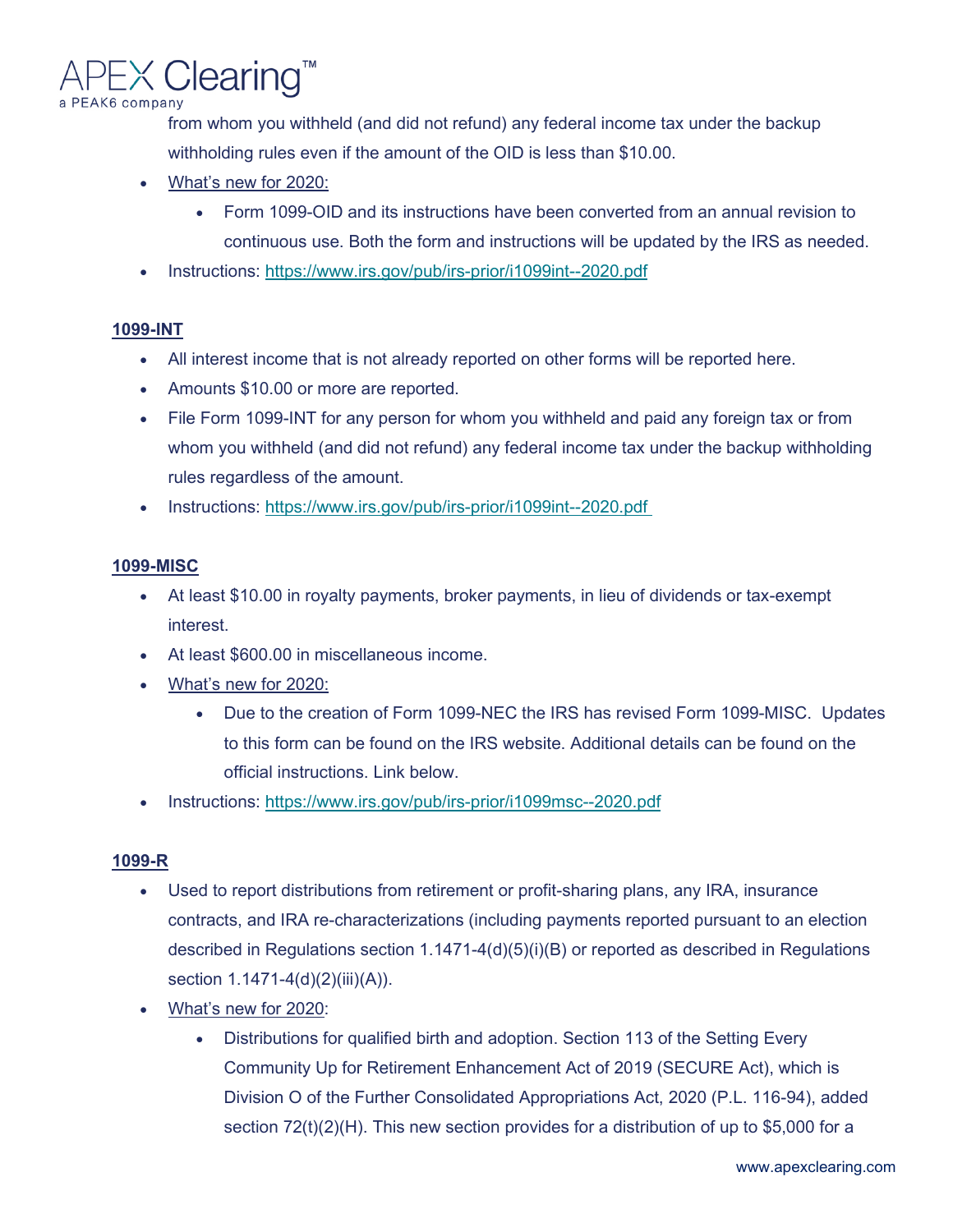

from whom you withheld (and did not refund) any federal income tax under the backup withholding rules even if the amount of the OID is less than \$10.00.

- What's new for 2020:
	- Form 1099-OID and its instructions have been converted from an annual revision to continuous use. Both the form and instructions will be updated by the IRS as needed.
- Instructions:<https://www.irs.gov/pub/irs-prior/i1099int--2020.pdf>

#### **1099-INT**

- All interest income that is not already reported on other forms will be reported here.
- Amounts \$10.00 or more are reported.
- File Form 1099-INT for any person for whom you withheld and paid any foreign tax or from whom you withheld (and did not refund) any federal income tax under the backup withholding rules regardless of the amount.
- Instructions:<https://www.irs.gov/pub/irs-prior/i1099int--2020.pdf>

#### **1099-MISC**

- At least \$10.00 in royalty payments, broker payments, in lieu of dividends or tax-exempt interest.
- At least \$600.00 in miscellaneous income.
- What's new for 2020:
	- Due to the creation of Form 1099-NEC the IRS has revised Form 1099-MISC. Updates to this form can be found on the IRS website. Additional details can be found on the official instructions. Link below.
- Instructions:<https://www.irs.gov/pub/irs-prior/i1099msc--2020.pdf>

#### **1099-R**

- Used to report distributions from retirement or profit-sharing plans, any IRA, insurance contracts, and IRA re-characterizations (including payments reported pursuant to an election described in Regulations section 1.1471-4(d)(5)(i)(B) or reported as described in Regulations section 1.1471-4(d)(2)(iii)(A)).
- What's new for 2020:
	- Distributions for qualified birth and adoption. Section 113 of the Setting Every Community Up for Retirement Enhancement Act of 2019 (SECURE Act), which is Division O of the Further Consolidated Appropriations Act, 2020 (P.L. 116-94), added section  $72(t)(2)(H)$ . This new section provides for a distribution of up to \$5,000 for a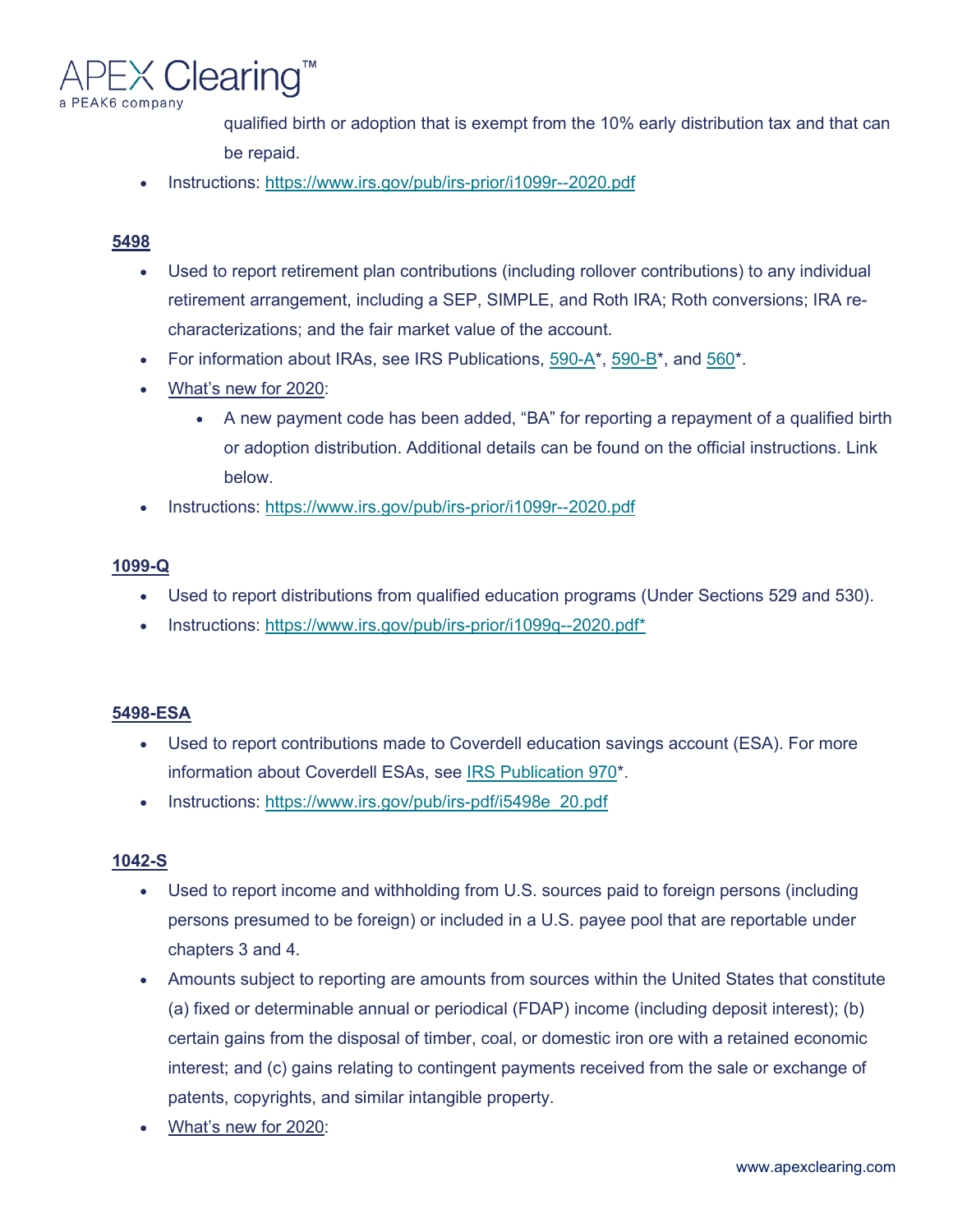

qualified birth or adoption that is exempt from the 10% early distribution tax and that can be repaid.

• Instructions:<https://www.irs.gov/pub/irs-prior/i1099r--2020.pdf>

# **5498**

- Used to report retirement plan contributions (including rollover contributions) to any individual retirement arrangement, including a SEP, SIMPLE, and Roth IRA; Roth conversions; IRA recharacterizations; and the fair market value of the account.
- For information about IRAs, see IRS Publications,  $590-A^*$ ,  $590-B^*$ , and  $560^*$ .
- What's new for 2020:
	- A new payment code has been added, "BA" for reporting a repayment of a qualified birth or adoption distribution. Additional details can be found on the official instructions. Link below.
- Instructions:<https://www.irs.gov/pub/irs-prior/i1099r--2020.pdf>

# **1099-Q**

- Used to report distributions from qualified education programs (Under Sections 529 and 530).
- Instructions: [https://www.irs.gov/pub/irs-prior/i1099q--2020.pdf\\*](https://www.irs.gov/pub/irs-prior/i1099q--2020.pdf)

#### **5498-ESA**

- Used to report contributions made to Coverdell education savings account (ESA). For more information about Coverdell ESAs, see [IRS Publication 970\\*](https://apps.irs.gov/app/picklist/list/priorFormPublication.html;jsessionid=mt0hEXMHbsyzOp4-t47iIwnb.20?value=970&criteria=formNumber&submitSearch=Find).
- Instructions: [https://www.irs.gov/pub/irs-pdf/i5498e\\_20.pdf](https://www.irs.gov/pub/irs-pdf/i5498e_20.pdf)

#### **1042-S**

- Used to report income and withholding from U.S. sources paid to foreign persons (including persons presumed to be foreign) or included in a U.S. payee pool that are reportable under chapters 3 and 4.
- Amounts subject to reporting are amounts from sources within the United States that constitute (a) fixed or determinable annual or periodical (FDAP) income (including deposit interest); (b) certain gains from the disposal of timber, coal, or domestic iron ore with a retained economic interest; and (c) gains relating to contingent payments received from the sale or exchange of patents, copyrights, and similar intangible property.
- What's new for 2020: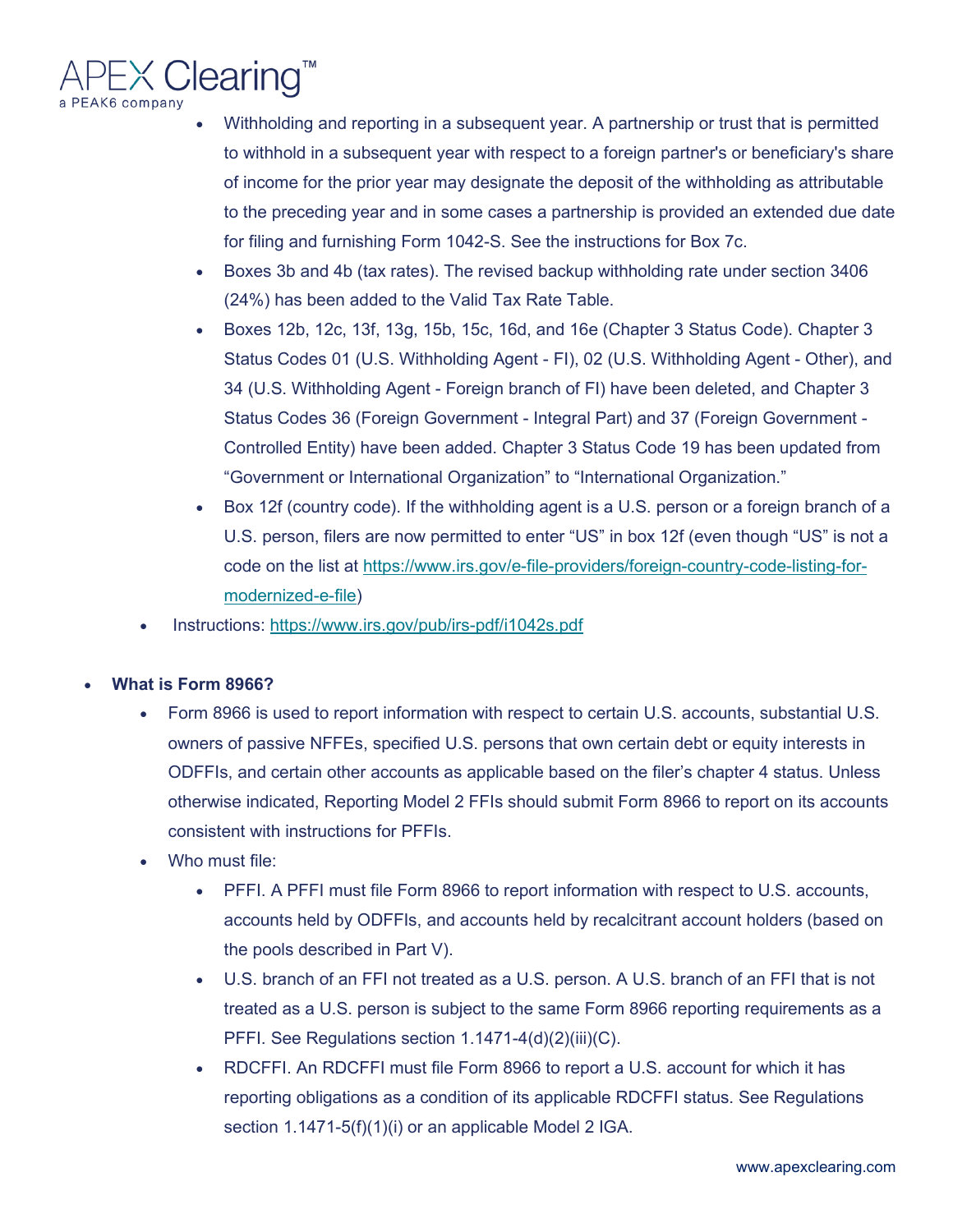

- Withholding and reporting in a subsequent year. A partnership or trust that is permitted to withhold in a subsequent year with respect to a foreign partner's or beneficiary's share of income for the prior year may designate the deposit of the withholding as attributable to the preceding year and in some cases a partnership is provided an extended due date for filing and furnishing Form 1042-S. See the instructions for Box 7c.
- Boxes 3b and 4b (tax rates). The revised backup withholding rate under section 3406 (24%) has been added to the Valid Tax Rate Table.
- Boxes 12b, 12c, 13f, 13g, 15b, 15c, 16d, and 16e (Chapter 3 Status Code). Chapter 3 Status Codes 01 (U.S. Withholding Agent - FI), 02 (U.S. Withholding Agent - Other), and 34 (U.S. Withholding Agent - Foreign branch of FI) have been deleted, and Chapter 3 Status Codes 36 (Foreign Government - Integral Part) and 37 (Foreign Government - Controlled Entity) have been added. Chapter 3 Status Code 19 has been updated from "Government or International Organization" to "International Organization."
- Box 12f (country code). If the withholding agent is a U.S. person or a foreign branch of a U.S. person, filers are now permitted to enter "US" in box 12f (even though "US" is not a code on the list at [https://www.irs.gov/e-file-providers/foreign-country-code-listing-for](https://www.irs.gov/e-file-providers/foreign-country-code-listing-for-modernized-e-file)[modernized-e-file\)](https://www.irs.gov/e-file-providers/foreign-country-code-listing-for-modernized-e-file)
- Instructions:<https://www.irs.gov/pub/irs-pdf/i1042s.pdf>
- **What is Form 8966?** 
	- Form 8966 is used to report information with respect to certain U.S. accounts, substantial U.S. owners of passive NFFEs, specified U.S. persons that own certain debt or equity interests in ODFFIs, and certain other accounts as applicable based on the filer's chapter 4 status. Unless otherwise indicated, Reporting Model 2 FFIs should submit Form 8966 to report on its accounts consistent with instructions for PFFIs.
	- Who must file:
		- PFFI. A PFFI must file Form 8966 to report information with respect to U.S. accounts, accounts held by ODFFIs, and accounts held by recalcitrant account holders (based on the pools described in Part V).
		- U.S. branch of an FFI not treated as a U.S. person. A U.S. branch of an FFI that is not treated as a U.S. person is subject to the same Form 8966 reporting requirements as a PFFI. See Regulations section 1.1471-4(d)(2)(iii)(C).
		- RDCFFI. An RDCFFI must file Form 8966 to report a U.S. account for which it has reporting obligations as a condition of its applicable RDCFFI status. See Regulations section 1.1471-5(f)(1)(i) or an applicable Model 2 IGA.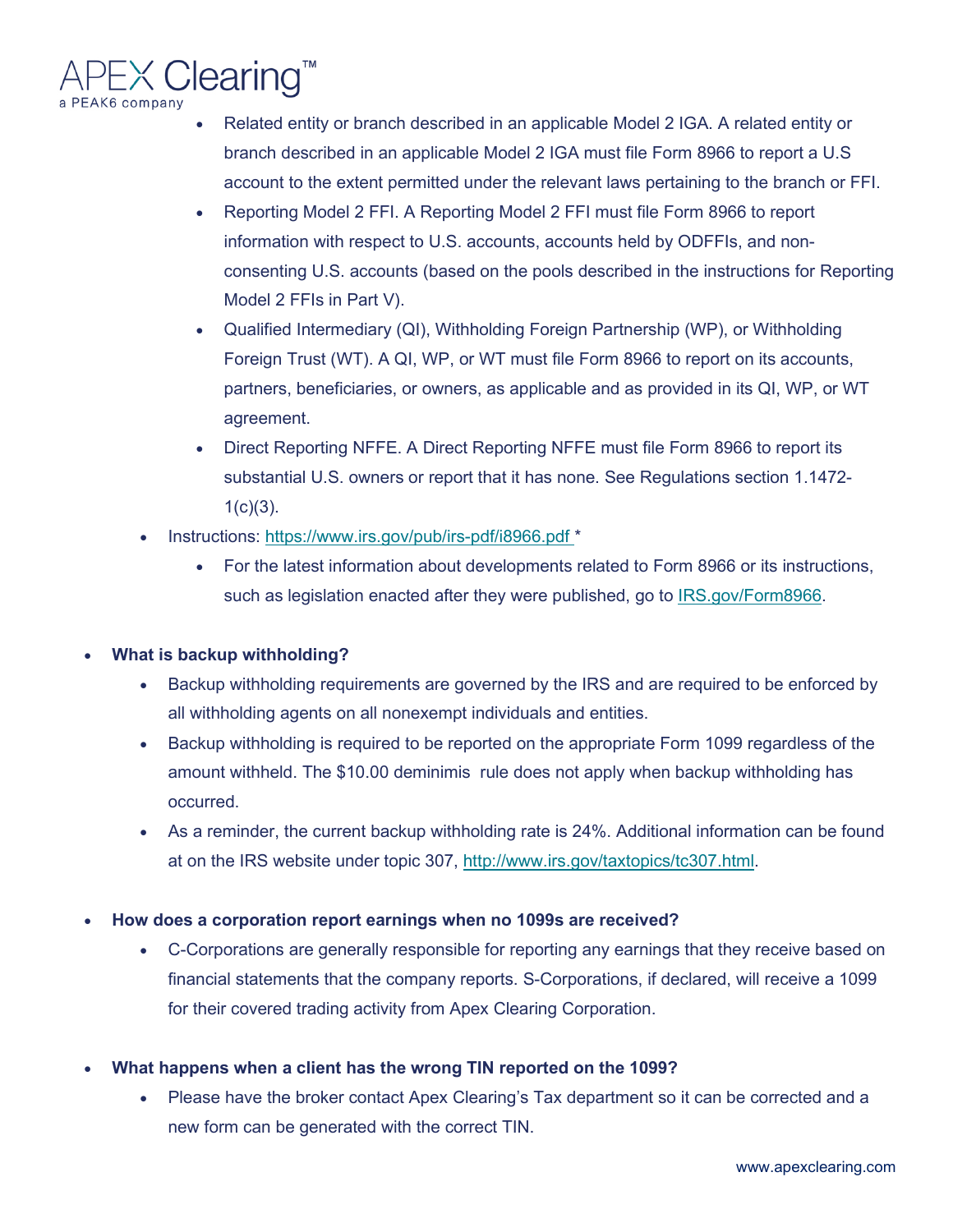

- Related entity or branch described in an applicable Model 2 IGA. A related entity or branch described in an applicable Model 2 IGA must file Form 8966 to report a U.S account to the extent permitted under the relevant laws pertaining to the branch or FFI.
- Reporting Model 2 FFI. A Reporting Model 2 FFI must file Form 8966 to report information with respect to U.S. accounts, accounts held by ODFFIs, and nonconsenting U.S. accounts (based on the pools described in the instructions for Reporting Model 2 FFIs in Part V).
- Qualified Intermediary (QI), Withholding Foreign Partnership (WP), or Withholding Foreign Trust (WT). A QI, WP, or WT must file Form 8966 to report on its accounts, partners, beneficiaries, or owners, as applicable and as provided in its QI, WP, or WT agreement.
- Direct Reporting NFFE. A Direct Reporting NFFE must file Form 8966 to report its substantial U.S. owners or report that it has none. See Regulations section 1.1472-  $1(c)(3)$ .
- Instructions: [https://www.irs.gov/pub/irs-pdf/i8966.pdf \\*](https://www.irs.gov/pub/irs-pdf/i8966.pdf)
	- For the latest information about developments related to Form 8966 or its instructions, such as legislation enacted after they were published, go to [IRS.gov/Form8966.](https://www.irs.gov/forms-pubs/about-form-8966)

# • **What is backup withholding?**

- Backup withholding requirements are governed by the IRS and are required to be enforced by all withholding agents on all nonexempt individuals and entities.
- Backup withholding is required to be reported on the appropriate Form 1099 regardless of the amount withheld. The \$10.00 deminimis rule does not apply when backup withholding has occurred.
- As a reminder, the current backup withholding rate is 24%. Additional information can be found at on the IRS website under topic 307, [http://www.irs.gov/taxtopics/tc307.html.](http://www.irs.gov/taxtopics/tc307.html)
- **How does a corporation report earnings when no 1099s are received?**
	- C-Corporations are generally responsible for reporting any earnings that they receive based on financial statements that the company reports. S-Corporations, if declared, will receive a 1099 for their covered trading activity from Apex Clearing Corporation.
- **What happens when a client has the wrong TIN reported on the 1099?**
	- Please have the broker contact Apex Clearing's Tax department so it can be corrected and a new form can be generated with the correct TIN.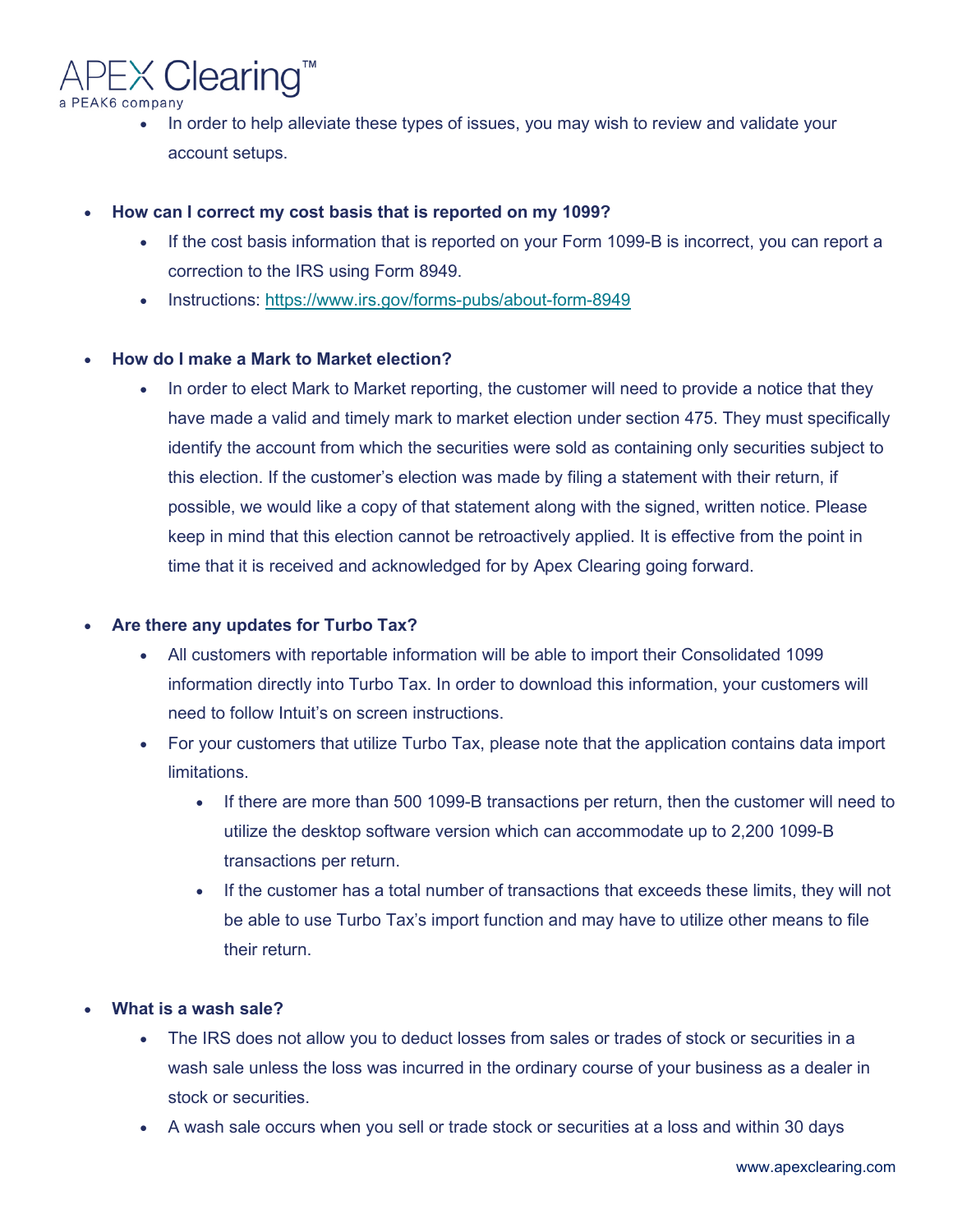$EX$  Clearing<sup>\*\*</sup> a PEAK6 company

- In order to help alleviate these types of issues, you may wish to review and validate your account setups.
- **How can I correct my cost basis that is reported on my 1099?** 
	- If the cost basis information that is reported on your Form 1099-B is incorrect, you can report a correction to the IRS using Form 8949.
	- Instructions:<https://www.irs.gov/forms-pubs/about-form-8949>

# • **How do I make a Mark to Market election?**

In order to elect Mark to Market reporting, the customer will need to provide a notice that they have made a valid and timely mark to market election under section 475. They must specifically identify the account from which the securities were sold as containing only securities subject to this election. If the customer's election was made by filing a statement with their return, if possible, we would like a copy of that statement along with the signed, written notice. Please keep in mind that this election cannot be retroactively applied. It is effective from the point in time that it is received and acknowledged for by Apex Clearing going forward.

# • **Are there any updates for Turbo Tax?**

- All customers with reportable information will be able to import their Consolidated 1099 information directly into Turbo Tax. In order to download this information, your customers will need to follow Intuit's on screen instructions.
- For your customers that utilize Turbo Tax, please note that the application contains data import limitations.
	- If there are more than 500 1099-B transactions per return, then the customer will need to utilize the desktop software version which can accommodate up to 2,200 1099-B transactions per return.
	- If the customer has a total number of transactions that exceeds these limits, they will not be able to use Turbo Tax's import function and may have to utilize other means to file their return.

# • **What is a wash sale?**

- The IRS does not allow you to deduct losses from sales or trades of stock or securities in a wash sale unless the loss was incurred in the ordinary course of your business as a dealer in stock or securities.
- A wash sale occurs when you sell or trade stock or securities at a loss and within 30 days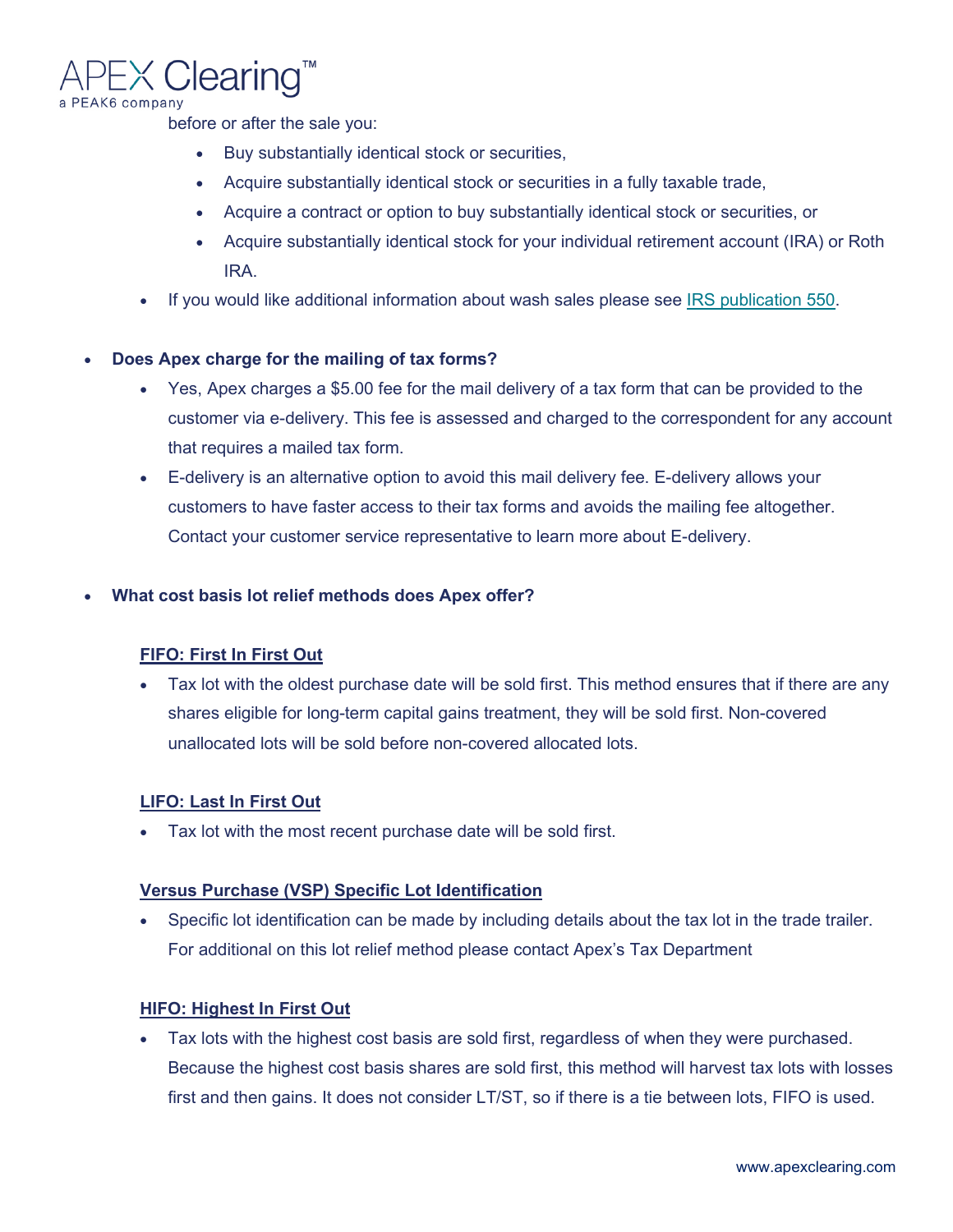# X Clearing" a PEAK6 company

before or after the sale you:

- Buy substantially identical stock or securities,
- Acquire substantially identical stock or securities in a fully taxable trade,
- Acquire a contract or option to buy substantially identical stock or securities, or
- Acquire substantially identical stock for your individual retirement account (IRA) or Roth IRA.
- If you would like additional information about wash sales please see [IRS publication 550.](https://www.irs.gov/forms-pubs/about-publication-550)

# • **Does Apex charge for the mailing of tax forms?**

- Yes, Apex charges a \$5.00 fee for the mail delivery of a tax form that can be provided to the customer via e-delivery. This fee is assessed and charged to the correspondent for any account that requires a mailed tax form.
- E-delivery is an alternative option to avoid this mail delivery fee. E-delivery allows your customers to have faster access to their tax forms and avoids the mailing fee altogether. Contact your customer service representative to learn more about E-delivery.

# • **What cost basis lot relief methods does Apex offer?**

#### **FIFO: First In First Out**

• Tax lot with the oldest purchase date will be sold first. This method ensures that if there are any shares eligible for long-term capital gains treatment, they will be sold first. Non-covered unallocated lots will be sold before non-covered allocated lots.

#### **LIFO: Last In First Out**

• Tax lot with the most recent purchase date will be sold first.

#### **Versus Purchase (VSP) Specific Lot Identification**

• Specific lot identification can be made by including details about the tax lot in the trade trailer. For additional on this lot relief method please contact Apex's Tax Department

#### **HIFO: Highest In First Out**

• Tax lots with the highest cost basis are sold first, regardless of when they were purchased. Because the highest cost basis shares are sold first, this method will harvest tax lots with losses first and then gains. It does not consider LT/ST, so if there is a tie between lots, FIFO is used.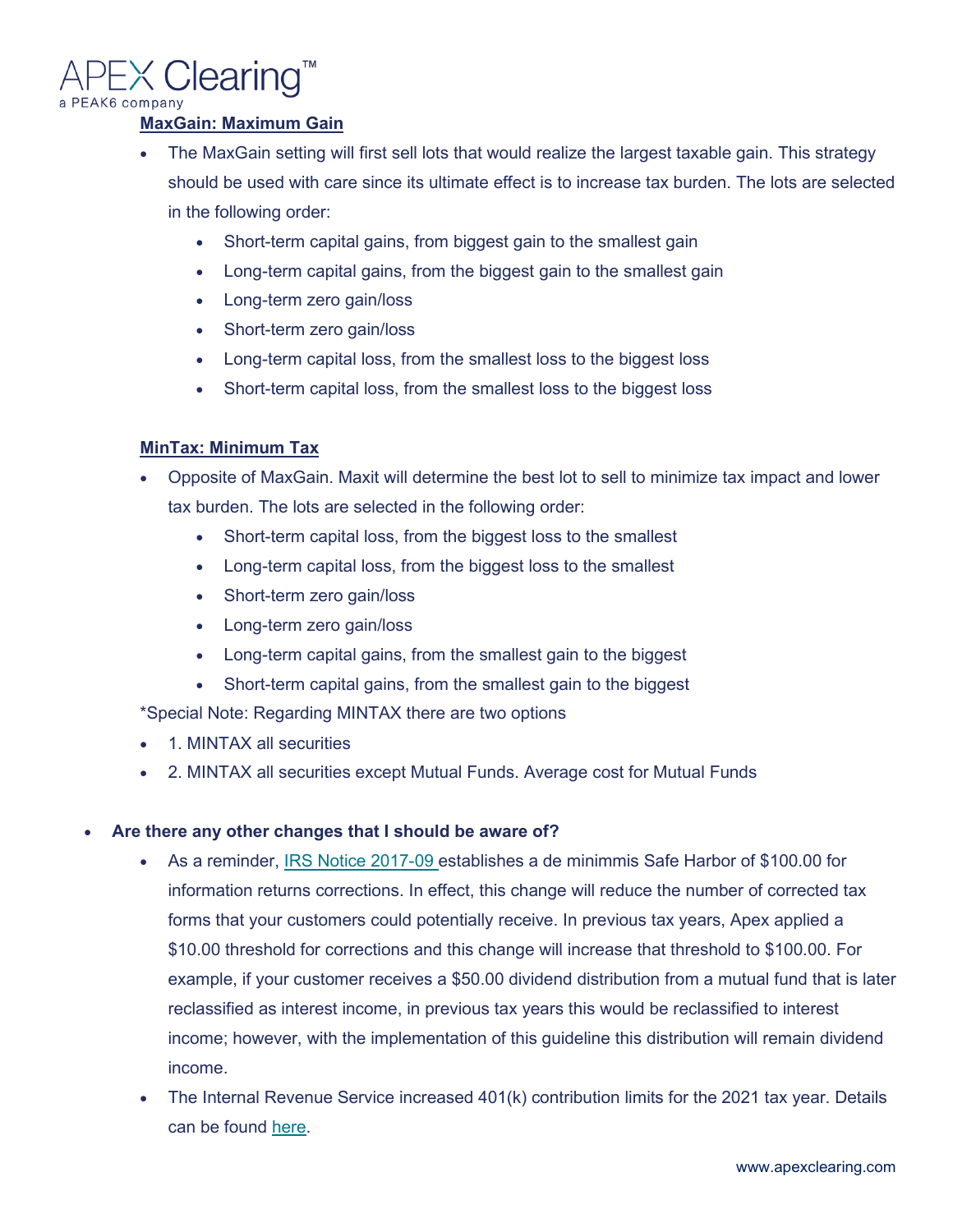

# **MaxGain: Maximum Gain**

- The MaxGain setting will first sell lots that would realize the largest taxable gain. This strategy should be used with care since its ultimate effect is to increase tax burden. The lots are selected in the following order:
	- Short-term capital gains, from biggest gain to the smallest gain
	- Long-term capital gains, from the biggest gain to the smallest gain
	- Long-term zero gain/loss
	- Short-term zero gain/loss
	- Long-term capital loss, from the smallest loss to the biggest loss
	- Short-term capital loss, from the smallest loss to the biggest loss

# **MinTax: Minimum Tax**

- Opposite of MaxGain. Maxit will determine the best lot to sell to minimize tax impact and lower tax burden. The lots are selected in the following order:
	- Short-term capital loss, from the biggest loss to the smallest
	- Long-term capital loss, from the biggest loss to the smallest
	- Short-term zero gain/loss
	- Long-term zero gain/loss
	- Long-term capital gains, from the smallest gain to the biggest
	- Short-term capital gains, from the smallest gain to the biggest

\*Special Note: Regarding MINTAX there are two options

- 1. MINTAX all securities
- 2. MINTAX all securities except Mutual Funds. Average cost for Mutual Funds

# • **Are there any other changes that I should be aware of?**

- As a reminder, [IRS Notice 2017-09 e](https://www.irs.gov/pub/irs-drop/n-17-09.pdf)stablishes a de minimmis Safe Harbor of \$100.00 for information returns corrections. In effect, this change will reduce the number of corrected tax forms that your customers could potentially receive. In previous tax years, Apex applied a \$10.00 threshold for corrections and this change will increase that threshold to \$100.00. For example, if your customer receives a \$50.00 dividend distribution from a mutual fund that is later reclassified as interest income, in previous tax years this would be reclassified to interest income; however, with the implementation of this guideline this distribution will remain dividend income.
- The Internal Revenue Service increased 401(k) contribution limits for the 2021 tax year. Details can be found [here.](https://www.irs.gov/retirement-plans/plan-participant-employee/retirement-topics-401k-and-profit-sharing-plan-contribution-limits)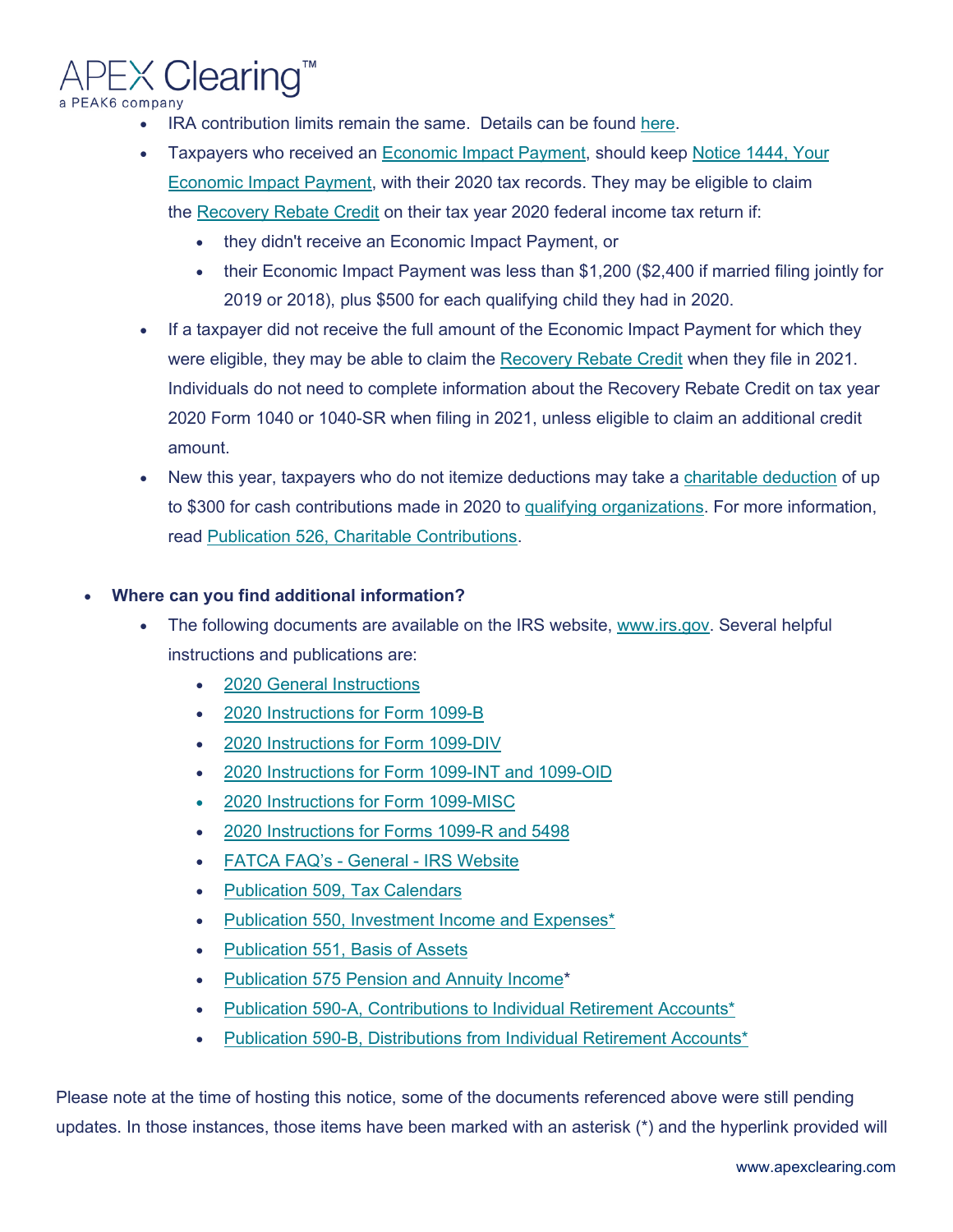$EX$  Clearing" a PEAK6 company

- IRA contribution limits remain the same. Details can be found [here.](https://www.irs.gov/retirement-plans/plan-participant-employee/retirement-topics-ira-contribution-limits)
- Taxpayers who received an [Economic Impact Payment,](https://www.irs.gov/coronavirus/economic-impact-payment-information-center) should keep Notice 1444, Your [Economic Impact Payment,](https://www.irs.gov/newsroom/keep-economic-impact-payment-notice-with-other-tax-records) with their 2020 tax records. They may be eligible to claim the [Recovery Rebate Credit](https://www.irs.gov/newsroom/recovery-rebate-credit) on their tax year 2020 federal income tax return if:
	- they didn't receive an Economic Impact Payment, or
	- their Economic Impact Payment was less than \$1,200 (\$2,400 if married filing jointly for 2019 or 2018), plus \$500 for each qualifying child they had in 2020.
- If a taxpayer did not receive the full amount of the Economic Impact Payment for which they were eligible, they may be able to claim the [Recovery Rebate Credit](https://www.irs.gov/newsroom/recovery-rebate-credit) when they file in 2021. Individuals do not need to complete information about the Recovery Rebate Credit on tax year 2020 Form 1040 or 1040-SR when filing in 2021, unless eligible to claim an additional credit amount.
- New this year, taxpayers who do not itemize deductions may take a [charitable deduction](https://www.irs.gov/newsroom/how-the-cares-act-changes-deducting-charitable-contributions) of up to \$300 for cash contributions made in 2020 to [qualifying organizations.](https://www.irs.gov/charities-non-profits/tax-exempt-organization-search) For more information, read [Publication 526, Charitable Contributions.](https://www.irs.gov/forms-pubs/about-publication-526)

# • **Where can you find additional information?**

- The following documents are available on the IRS website, [www.irs.gov.](https://www.irs.gov/) Several helpful instructions and publications are:
	- [2020 General Instructions](https://www.irs.gov/pub/irs-pdf/i1099gi.pdf)
	- [2020 Instructions for Form 1099-B](https://www.irs.gov/pub/irs-prior/i1099b--2020.pdf)
	- [2020 Instructions for Form 1099-DIV](https://www.irs.gov/pub/irs-prior/i1099div--2020.pdf)
	- [2020 Instructions for Form 1099-INT and 1099-OID](https://www.irs.gov/pub/irs-prior/i1099int--2020.pdf)
	- [2020 Instructions for Form 1099-MISC](https://www.irs.gov/pub/irs-pdf/i1099msc.pdf)
	- [2020 Instructions for Forms 1099-R and 5498](https://www.irs.gov/pub/irs-pdf/i1099r.pdf)
	- [FATCA FAQ's -](https://www.irs.gov/businesses/corporations/frequently-asked-questions-faqs-fatca-compliance-legal) General IRS Website
	- [Publication 509, Tax Calendars](https://www.irs.gov/pub/irs-pdf/p509.pdf)
	- [Publication 550, Investment Income and Expenses\\*](https://apps.irs.gov/app/picklist/list/priorFormPublication.html?resultsPerPage=200&sortColumn=sortOrder&indexOfFirstRow=0&criteria=title&value=Investment+Income+and&isDescending=false)
	- [Publication 551, Basis of Assets](https://www.irs.gov/pub/irs-pdf/p551.pdf)
	- [Publication 575 Pension and Annuity Income\\*](https://apps.irs.gov/app/picklist/list/priorFormPublication.html?resultsPerPage=200&sortColumn=sortOrder&indexOfFirstRow=0&criteria=formNumber&value=Publ+575&isDescending=false)
	- [Publication 590-A, Contributions to Individual Retirement Accounts\\*](https://apps.irs.gov/app/picklist/list/priorFormPublication.html?resultsPerPage=200&sortColumn=sortOrder&indexOfFirstRow=0&criteria=formNumber&value=Publ+590a&isDescending=false)
	- [Publication 590-B, Distributions from Individual Retirement Accounts\\*](https://apps.irs.gov/app/picklist/list/priorFormPublication.html?resultsPerPage=200&sortColumn=sortOrder&indexOfFirstRow=0&criteria=formNumber&value=Publ+590b&isDescending=false)

Please note at the time of hosting this notice, some of the documents referenced above were still pending updates. In those instances, those items have been marked with an asterisk (\*) and the hyperlink provided will